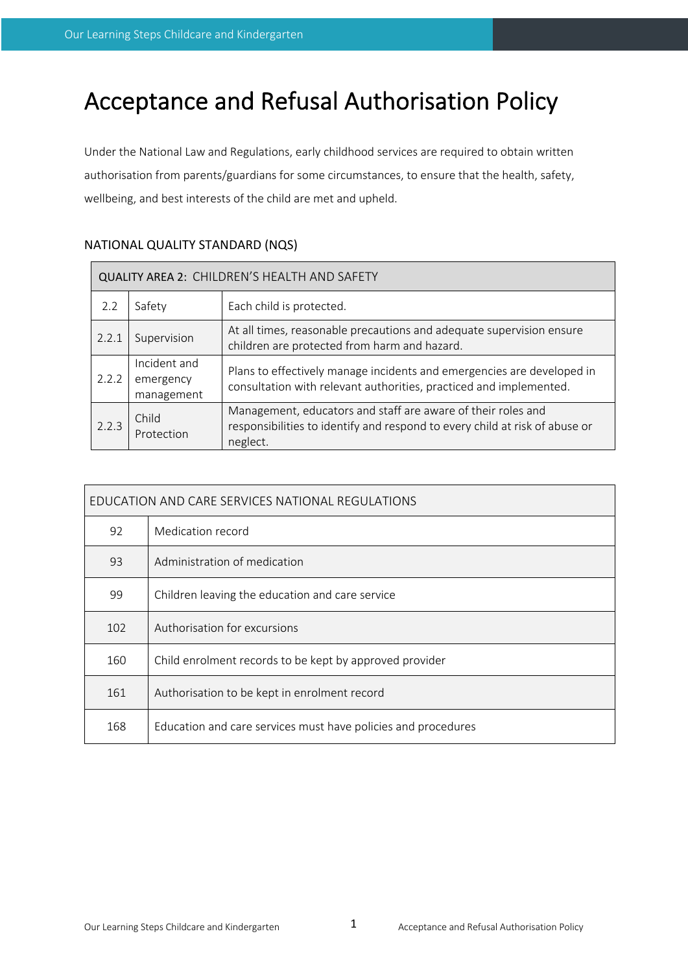# Acceptance and Refusal Authorisation Policy

Under the National Law and Regulations, early childhood services are required to obtain written authorisation from parents/guardians for some circumstances, to ensure that the health, safety, wellbeing, and best interests of the child are met and upheld.

| QUALITY AREA 2: CHILDREN'S HEALTH AND SAFETY |                                         |                                                                                                                                                                                                                                                                      |  |  |
|----------------------------------------------|-----------------------------------------|----------------------------------------------------------------------------------------------------------------------------------------------------------------------------------------------------------------------------------------------------------------------|--|--|
| 2.2                                          | Safety                                  | Each child is protected.                                                                                                                                                                                                                                             |  |  |
| 2.2.1                                        | Supervision                             | At all times, reasonable precautions and adequate supervision ensure<br>children are protected from harm and hazard.<br>Plans to effectively manage incidents and emergencies are developed in<br>consultation with relevant authorities, practiced and implemented. |  |  |
| 2.2.2                                        | Incident and<br>emergency<br>management |                                                                                                                                                                                                                                                                      |  |  |
| Child<br>2.2.3<br>Protection<br>neglect.     |                                         | Management, educators and staff are aware of their roles and<br>responsibilities to identify and respond to every child at risk of abuse or                                                                                                                          |  |  |

# NATIONAL QUALITY STANDARD (NQS)

| EDUCATION AND CARE SERVICES NATIONAL REGULATIONS |                                                               |  |
|--------------------------------------------------|---------------------------------------------------------------|--|
| 92                                               | Medication record                                             |  |
| 93                                               | Administration of medication                                  |  |
| 99                                               | Children leaving the education and care service               |  |
| 102                                              | Authorisation for excursions                                  |  |
| 160                                              | Child enrolment records to be kept by approved provider       |  |
| 161                                              | Authorisation to be kept in enrolment record                  |  |
| 168                                              | Education and care services must have policies and procedures |  |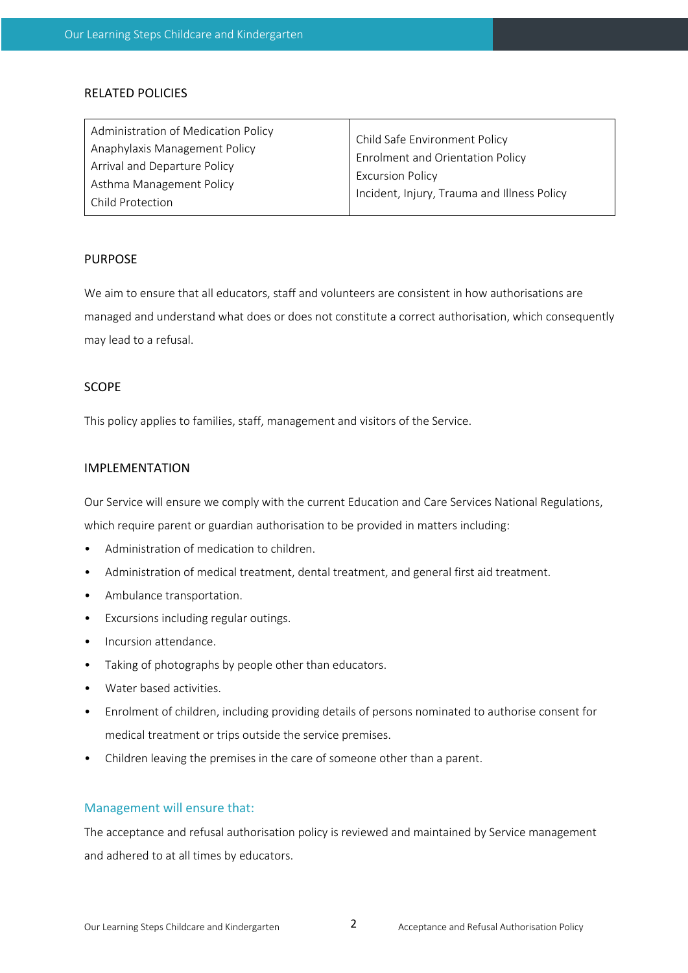### RELATED POLICIES

| Administration of Medication Policy | Child Safe Environment Policy<br>Enrolment and Orientation Policy<br><b>Excursion Policy</b><br>Incident, Injury, Trauma and Illness Policy |  |
|-------------------------------------|---------------------------------------------------------------------------------------------------------------------------------------------|--|
| Anaphylaxis Management Policy       |                                                                                                                                             |  |
| Arrival and Departure Policy        |                                                                                                                                             |  |
| Asthma Management Policy            |                                                                                                                                             |  |
|                                     |                                                                                                                                             |  |
| Child Protection                    |                                                                                                                                             |  |

#### PURPOSE

We aim to ensure that all educators, staff and volunteers are consistent in how authorisations are managed and understand what does or does not constitute a correct authorisation, which consequently may lead to a refusal.

### SCOPE

This policy applies to families, staff, management and visitors of the Service.

#### IMPLEMENTATION

Our Service will ensure we comply with the current Education and Care Services National Regulations,

which require parent or guardian authorisation to be provided in matters including:

- Administration of medication to children.
- Administration of medical treatment, dental treatment, and general first aid treatment.
- Ambulance transportation.
- Excursions including regular outings.
- Incursion attendance.
- Taking of photographs by people other than educators.
- Water based activities.
- Enrolment of children, including providing details of persons nominated to authorise consent for medical treatment or trips outside the service premises.
- Children leaving the premises in the care of someone other than a parent.

#### Management will ensure that:

The acceptance and refusal authorisation policy is reviewed and maintained by Service management and adhered to at all times by educators.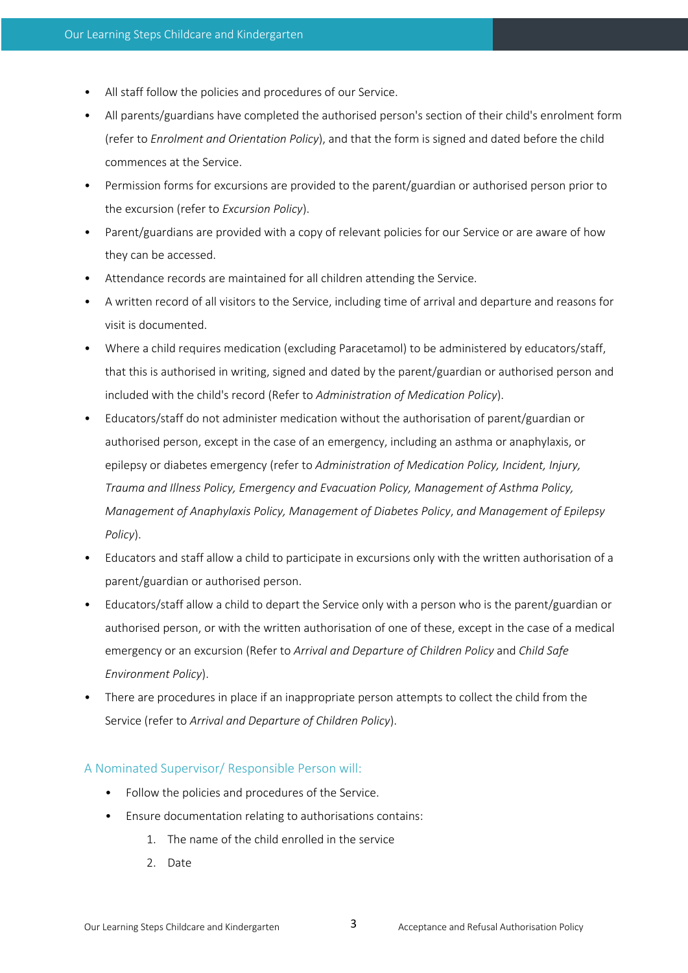- All staff follow the policies and procedures of our Service.
- All parents/guardians have completed the authorised person's section of their child's enrolment form (refer to *Enrolment and Orientation Policy*), and that the form is signed and dated before the child commences at the Service.
- Permission forms for excursions are provided to the parent/guardian or authorised person prior to the excursion (refer to *Excursion Policy*).
- Parent/guardians are provided with a copy of relevant policies for our Service or are aware of how they can be accessed.
- Attendance records are maintained for all children attending the Service.
- A written record of all visitors to the Service, including time of arrival and departure and reasons for visit is documented.
- Where a child requires medication (excluding Paracetamol) to be administered by educators/staff, that this is authorised in writing, signed and dated by the parent/guardian or authorised person and included with the child's record (Refer to *Administration of Medication Policy*).
- Educators/staff do not administer medication without the authorisation of parent/guardian or authorised person, except in the case of an emergency, including an asthma or anaphylaxis, or epilepsy or diabetes emergency (refer to *Administration of Medication Policy, Incident, Injury, Trauma and Illness Policy, Emergency and Evacuation Policy, Management of Asthma Policy, Management of Anaphylaxis Policy, Management of Diabetes Policy*, *and Management of Epilepsy Policy*).
- Educators and staff allow a child to participate in excursions only with the written authorisation of a parent/guardian or authorised person.
- Educators/staff allow a child to depart the Service only with a person who is the parent/guardian or authorised person, or with the written authorisation of one of these, except in the case of a medical emergency or an excursion (Refer to *Arrival and Departure of Children Policy* and *Child Safe Environment Policy*).
- There are procedures in place if an inappropriate person attempts to collect the child from the Service (refer to *Arrival and Departure of Children Policy*).

### A Nominated Supervisor/ Responsible Person will:

- Follow the policies and procedures of the Service.
- Ensure documentation relating to authorisations contains:
	- 1. The name of the child enrolled in the service
	- 2. Date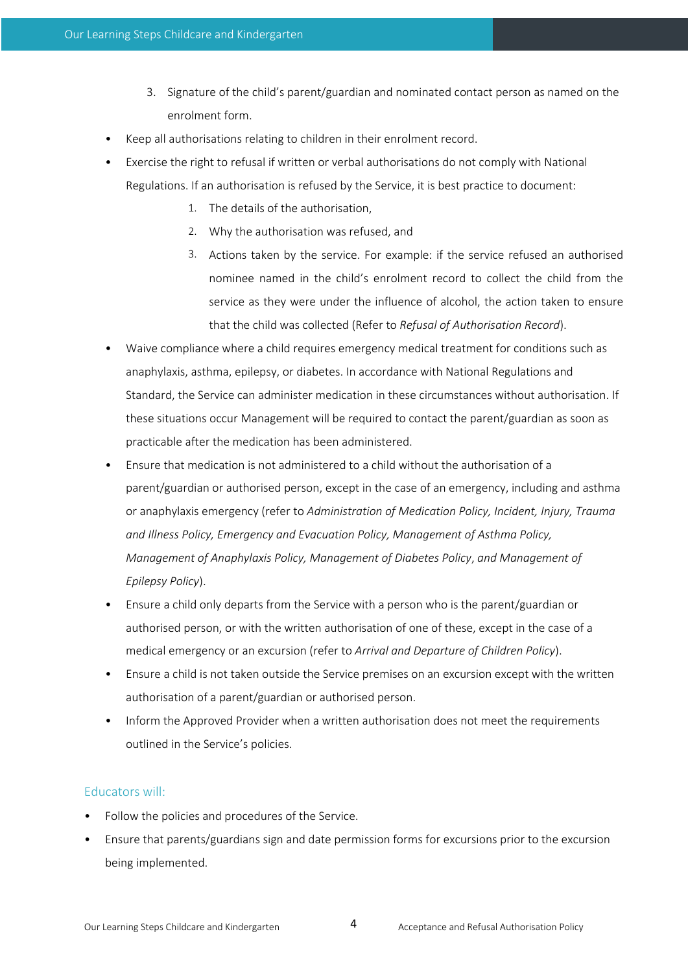- 3. Signature of the child's parent/guardian and nominated contact person as named on the enrolment form.
- Keep all authorisations relating to children in their enrolment record.
- Exercise the right to refusal if written or verbal authorisations do not comply with National Regulations. If an authorisation is refused by the Service, it is best practice to document:
	- 1. The details of the authorisation,
	- 2. Why the authorisation was refused, and
	- 3. Actions taken by the service. For example: if the service refused an authorised nominee named in the child's enrolment record to collect the child from the service as they were under the influence of alcohol, the action taken to ensure that the child was collected (Refer to *Refusal of Authorisation Record*).
- Waive compliance where a child requires emergency medical treatment for conditions such as anaphylaxis, asthma, epilepsy, or diabetes. In accordance with National Regulations and Standard, the Service can administer medication in these circumstances without authorisation. If these situations occur Management will be required to contact the parent/guardian as soon as practicable after the medication has been administered.
- Ensure that medication is not administered to a child without the authorisation of a parent/guardian or authorised person, except in the case of an emergency, including and asthma or anaphylaxis emergency (refer to *Administration of Medication Policy, Incident, Injury, Trauma and Illness Policy, Emergency and Evacuation Policy, Management of Asthma Policy, Management of Anaphylaxis Policy, Management of Diabetes Policy*, *and Management of Epilepsy Policy*).
- Ensure a child only departs from the Service with a person who is the parent/guardian or authorised person, or with the written authorisation of one of these, except in the case of a medical emergency or an excursion (refer to *Arrival and Departure of Children Policy*).
- Ensure a child is not taken outside the Service premises on an excursion except with the written authorisation of a parent/guardian or authorised person.
- Inform the Approved Provider when a written authorisation does not meet the requirements outlined in the Service's policies.

# Educators will:

- Follow the policies and procedures of the Service.
- Ensure that parents/guardians sign and date permission forms for excursions prior to the excursion being implemented.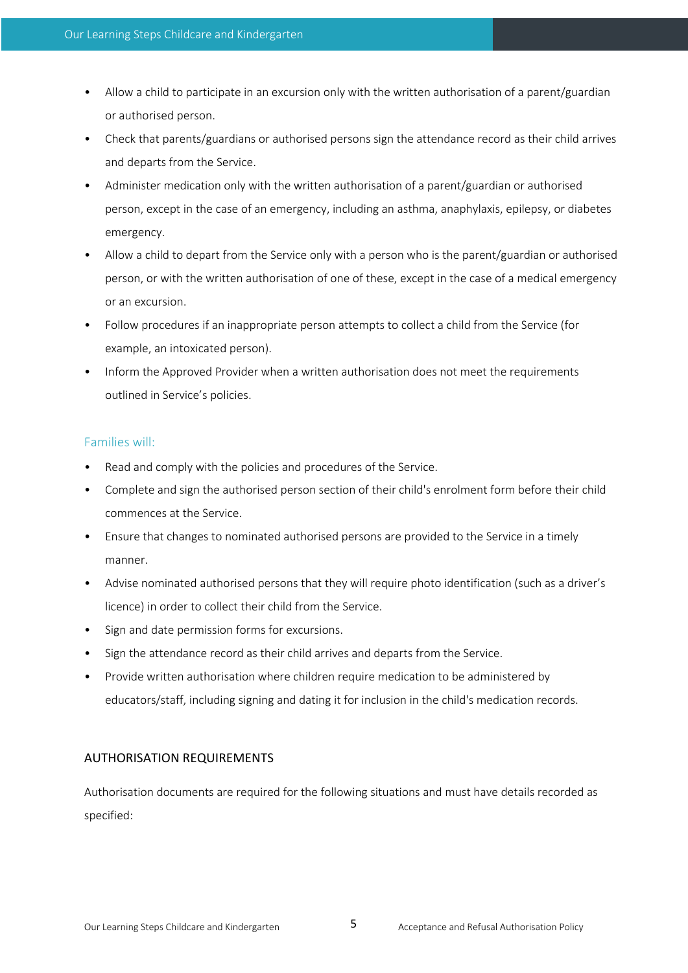- Allow a child to participate in an excursion only with the written authorisation of a parent/guardian or authorised person.
- Check that parents/guardians or authorised persons sign the attendance record as their child arrives and departs from the Service.
- Administer medication only with the written authorisation of a parent/guardian or authorised person, except in the case of an emergency, including an asthma, anaphylaxis, epilepsy, or diabetes emergency.
- Allow a child to depart from the Service only with a person who is the parent/guardian or authorised person, or with the written authorisation of one of these, except in the case of a medical emergency or an excursion.
- Follow procedures if an inappropriate person attempts to collect a child from the Service (for example, an intoxicated person).
- Inform the Approved Provider when a written authorisation does not meet the requirements outlined in Service's policies.

## Families will:

- Read and comply with the policies and procedures of the Service.
- Complete and sign the authorised person section of their child's enrolment form before their child commences at the Service.
- Ensure that changes to nominated authorised persons are provided to the Service in a timely manner.
- Advise nominated authorised persons that they will require photo identification (such as a driver's licence) in order to collect their child from the Service.
- Sign and date permission forms for excursions.
- Sign the attendance record as their child arrives and departs from the Service.
- Provide written authorisation where children require medication to be administered by educators/staff, including signing and dating it for inclusion in the child's medication records.

# AUTHORISATION REQUIREMENTS

Authorisation documents are required for the following situations and must have details recorded as specified: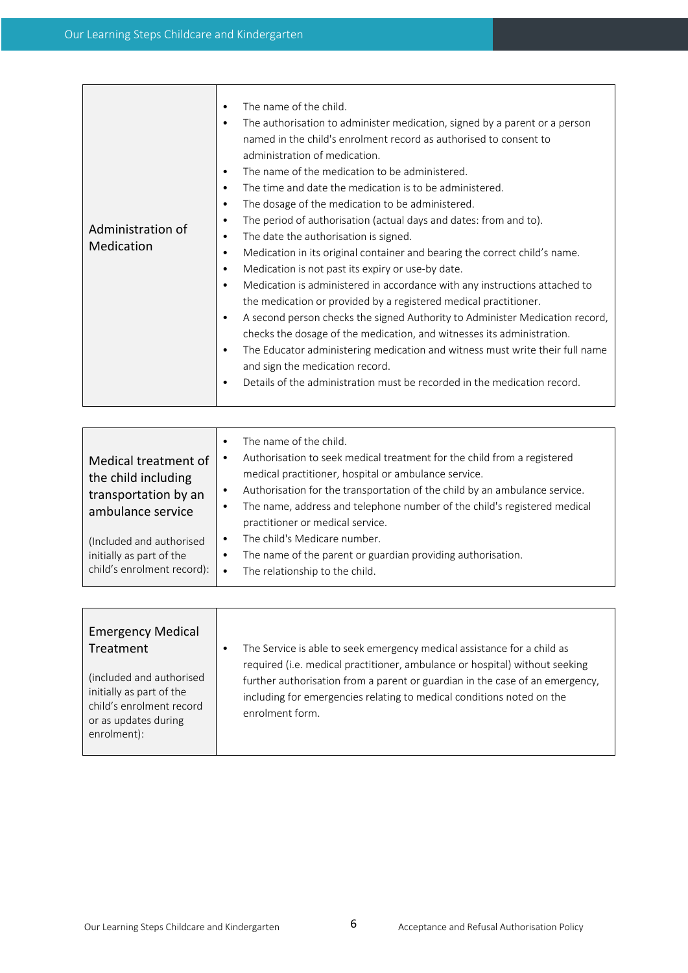| Administration of<br>Medication | The name of the child.<br>The authorisation to administer medication, signed by a parent or a person<br>$\bullet$<br>named in the child's enrolment record as authorised to consent to<br>administration of medication.<br>The name of the medication to be administered.<br>$\bullet$<br>The time and date the medication is to be administered.<br>$\bullet$<br>The dosage of the medication to be administered.<br>$\bullet$<br>The period of authorisation (actual days and dates: from and to).<br>$\bullet$<br>The date the authorisation is signed.<br>٠<br>Medication in its original container and bearing the correct child's name.<br>٠<br>Medication is not past its expiry or use-by date.<br>$\bullet$<br>Medication is administered in accordance with any instructions attached to<br>$\bullet$<br>the medication or provided by a registered medical practitioner.<br>A second person checks the signed Authority to Administer Medication record,<br>$\bullet$<br>checks the dosage of the medication, and witnesses its administration.<br>The Educator administering medication and witness must write their full name<br>٠<br>and sign the medication record.<br>Details of the administration must be recorded in the medication record.<br>٠ |
|---------------------------------|---------------------------------------------------------------------------------------------------------------------------------------------------------------------------------------------------------------------------------------------------------------------------------------------------------------------------------------------------------------------------------------------------------------------------------------------------------------------------------------------------------------------------------------------------------------------------------------------------------------------------------------------------------------------------------------------------------------------------------------------------------------------------------------------------------------------------------------------------------------------------------------------------------------------------------------------------------------------------------------------------------------------------------------------------------------------------------------------------------------------------------------------------------------------------------------------------------------------------------------------------------------------|
|---------------------------------|---------------------------------------------------------------------------------------------------------------------------------------------------------------------------------------------------------------------------------------------------------------------------------------------------------------------------------------------------------------------------------------------------------------------------------------------------------------------------------------------------------------------------------------------------------------------------------------------------------------------------------------------------------------------------------------------------------------------------------------------------------------------------------------------------------------------------------------------------------------------------------------------------------------------------------------------------------------------------------------------------------------------------------------------------------------------------------------------------------------------------------------------------------------------------------------------------------------------------------------------------------------------|

| Medical treatment of<br>the child including<br>transportation by an<br>ambulance service | The name of the child.<br>Authorisation to seek medical treatment for the child from a registered<br>medical practitioner, hospital or ambulance service.<br>Authorisation for the transportation of the child by an ambulance service.<br>The name, address and telephone number of the child's registered medical<br>practitioner or medical service. |
|------------------------------------------------------------------------------------------|---------------------------------------------------------------------------------------------------------------------------------------------------------------------------------------------------------------------------------------------------------------------------------------------------------------------------------------------------------|
| (Included and authorised                                                                 | The child's Medicare number.                                                                                                                                                                                                                                                                                                                            |
| initially as part of the                                                                 | The name of the parent or guardian providing authorisation.                                                                                                                                                                                                                                                                                             |
| child's enrolment record):                                                               | The relationship to the child.                                                                                                                                                                                                                                                                                                                          |

| <b>Emergency Medical</b><br>Treatment<br>(included and authorised<br>initially as part of the<br>child's enrolment record<br>or as updates during<br>enrolment): | The Service is able to seek emergency medical assistance for a child as<br>required (i.e. medical practitioner, ambulance or hospital) without seeking<br>further authorisation from a parent or guardian in the case of an emergency,<br>including for emergencies relating to medical conditions noted on the<br>enrolment form. |
|------------------------------------------------------------------------------------------------------------------------------------------------------------------|------------------------------------------------------------------------------------------------------------------------------------------------------------------------------------------------------------------------------------------------------------------------------------------------------------------------------------|
|                                                                                                                                                                  |                                                                                                                                                                                                                                                                                                                                    |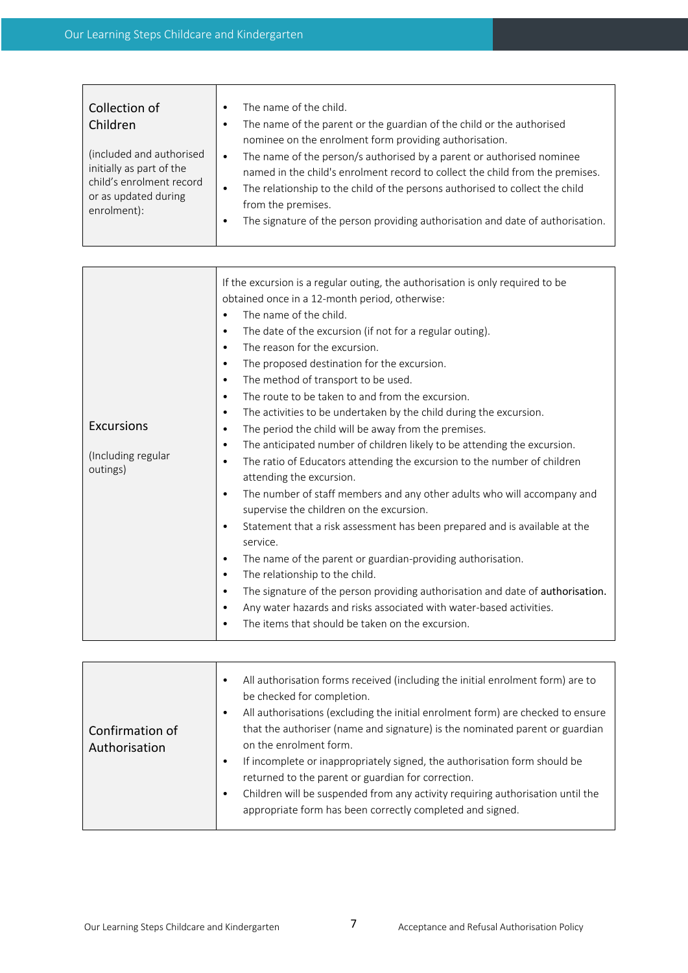| Collection of<br>Children<br>(included and authorised<br>initially as part of the<br>child's enrolment record<br>or as updated during<br>enrolment): | The name of the child.<br>The name of the parent or the guardian of the child or the authorised<br>nominee on the enrolment form providing authorisation.<br>The name of the person/s authorised by a parent or authorised nominee<br>$\bullet$<br>named in the child's enrolment record to collect the child from the premises.<br>The relationship to the child of the persons authorised to collect the child<br>$\bullet$<br>from the premises.<br>The signature of the person providing authorisation and date of authorisation. |
|------------------------------------------------------------------------------------------------------------------------------------------------------|---------------------------------------------------------------------------------------------------------------------------------------------------------------------------------------------------------------------------------------------------------------------------------------------------------------------------------------------------------------------------------------------------------------------------------------------------------------------------------------------------------------------------------------|
|------------------------------------------------------------------------------------------------------------------------------------------------------|---------------------------------------------------------------------------------------------------------------------------------------------------------------------------------------------------------------------------------------------------------------------------------------------------------------------------------------------------------------------------------------------------------------------------------------------------------------------------------------------------------------------------------------|

| <b>Excursions</b><br>(Including regular<br>outings) | If the excursion is a regular outing, the authorisation is only required to be<br>obtained once in a 12-month period, otherwise:<br>The name of the child.<br>The date of the excursion (if not for a regular outing).<br>$\bullet$<br>The reason for the excursion.<br>$\bullet$<br>The proposed destination for the excursion.<br>$\bullet$<br>The method of transport to be used.<br>$\bullet$<br>The route to be taken to and from the excursion.<br>$\bullet$<br>The activities to be undertaken by the child during the excursion.<br>$\bullet$<br>The period the child will be away from the premises.<br>$\bullet$<br>The anticipated number of children likely to be attending the excursion.<br>$\bullet$<br>The ratio of Educators attending the excursion to the number of children<br>٠<br>attending the excursion.<br>The number of staff members and any other adults who will accompany and<br>$\bullet$<br>supervise the children on the excursion.<br>Statement that a risk assessment has been prepared and is available at the<br>$\bullet$<br>service.<br>The name of the parent or guardian-providing authorisation.<br>$\bullet$<br>The relationship to the child.<br>$\bullet$<br>The signature of the person providing authorisation and date of authorisation.<br>$\bullet$<br>Any water hazards and risks associated with water-based activities.<br>$\bullet$ |
|-----------------------------------------------------|-------------------------------------------------------------------------------------------------------------------------------------------------------------------------------------------------------------------------------------------------------------------------------------------------------------------------------------------------------------------------------------------------------------------------------------------------------------------------------------------------------------------------------------------------------------------------------------------------------------------------------------------------------------------------------------------------------------------------------------------------------------------------------------------------------------------------------------------------------------------------------------------------------------------------------------------------------------------------------------------------------------------------------------------------------------------------------------------------------------------------------------------------------------------------------------------------------------------------------------------------------------------------------------------------------------------------------------------------------------------------------------------|
|                                                     | The items that should be taken on the excursion.                                                                                                                                                                                                                                                                                                                                                                                                                                                                                                                                                                                                                                                                                                                                                                                                                                                                                                                                                                                                                                                                                                                                                                                                                                                                                                                                          |

| Confirmation of<br>Authorisation | All authorisation forms received (including the initial enrolment form) are to<br>٠<br>be checked for completion.<br>All authorisations (excluding the initial enrolment form) are checked to ensure<br>$\bullet$<br>that the authoriser (name and signature) is the nominated parent or guardian<br>on the enrolment form.<br>If incomplete or inappropriately signed, the authorisation form should be<br>$\bullet$<br>returned to the parent or guardian for correction.<br>Children will be suspended from any activity requiring authorisation until the<br>٠<br>appropriate form has been correctly completed and signed. |
|----------------------------------|---------------------------------------------------------------------------------------------------------------------------------------------------------------------------------------------------------------------------------------------------------------------------------------------------------------------------------------------------------------------------------------------------------------------------------------------------------------------------------------------------------------------------------------------------------------------------------------------------------------------------------|
|----------------------------------|---------------------------------------------------------------------------------------------------------------------------------------------------------------------------------------------------------------------------------------------------------------------------------------------------------------------------------------------------------------------------------------------------------------------------------------------------------------------------------------------------------------------------------------------------------------------------------------------------------------------------------|